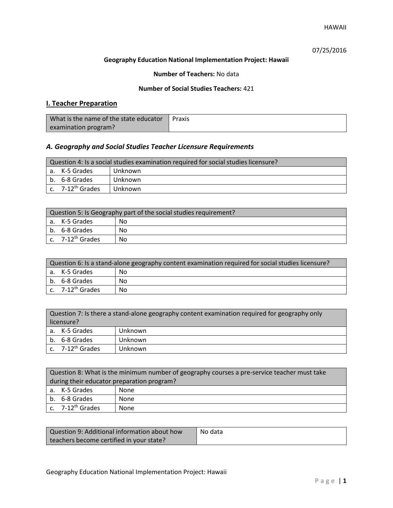# 07/25/2016

### **Geography Education National Implementation Project: Hawaii**

### **Number of Teachers:** No data

### **Number of Social Studies Teachers:** 421

# **I. Teacher Preparation**

| What is the name of the state educator | Praxis |
|----------------------------------------|--------|
| examination program?                   |        |

# *A. Geography and Social Studies Teacher Licensure Requirements*

| Question 4: Is a social studies examination required for social studies licensure? |                       |         |
|------------------------------------------------------------------------------------|-----------------------|---------|
|                                                                                    | a. K-5 Grades         | Unknown |
|                                                                                    | b. 6-8 Grades         | Unknown |
|                                                                                    | c. $7-12^{th}$ Grades | Unknown |

| Question 5: Is Geography part of the social studies requirement? |                                |    |
|------------------------------------------------------------------|--------------------------------|----|
|                                                                  | l a. K-5 Grades                | No |
|                                                                  | b. 6-8 Grades                  | No |
|                                                                  | $c.$ 7-12 <sup>th</sup> Grades | No |

| Question 6: Is a stand-alone geography content examination required for social studies licensure? |     |  |
|---------------------------------------------------------------------------------------------------|-----|--|
| a. K-5 Grades                                                                                     | No  |  |
| b. 6-8 Grades                                                                                     | No  |  |
| c. 7-12 <sup>th</sup> Grades                                                                      | No. |  |

| Question 7: Is there a stand-alone geography content examination required for geography only<br>licensure? |         |  |
|------------------------------------------------------------------------------------------------------------|---------|--|
| a. K-5 Grades                                                                                              | Unknown |  |
| b. 6-8 Grades                                                                                              | Unknown |  |
| c. 7-12 <sup>th</sup> Grades                                                                               | Unknown |  |

|                                            | Question 8: What is the minimum number of geography courses a pre-service teacher must take |      |  |
|--------------------------------------------|---------------------------------------------------------------------------------------------|------|--|
| during their educator preparation program? |                                                                                             |      |  |
|                                            | a. K-5 Grades                                                                               | None |  |
|                                            | b. 6-8 Grades                                                                               | None |  |
|                                            | c. $7-12^{th}$ Grades                                                                       | None |  |

| Question 9: Additional information about how | No data |
|----------------------------------------------|---------|
| teachers become certified in your state?     |         |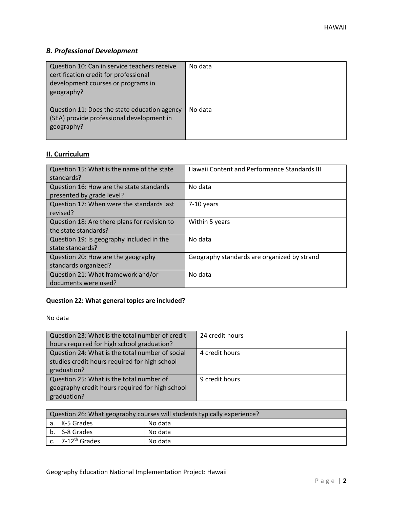# *B. Professional Development*

| Question 10: Can in service teachers receive<br>certification credit for professional<br>development courses or programs in<br>geography? | No data |
|-------------------------------------------------------------------------------------------------------------------------------------------|---------|
| Question 11: Does the state education agency<br>(SEA) provide professional development in<br>geography?                                   | No data |

# **II. Curriculum**

| Question 15: What is the name of the state<br>standards?              | <b>Hawaii Content and Performance Standards III</b> |
|-----------------------------------------------------------------------|-----------------------------------------------------|
| Question 16: How are the state standards<br>presented by grade level? | No data                                             |
| Question 17: When were the standards last<br>revised?                 | $7-10$ years                                        |
| Question 18: Are there plans for revision to<br>the state standards?  | Within 5 years                                      |
| Question 19: Is geography included in the<br>state standards?         | No data                                             |
| Question 20: How are the geography<br>standards organized?            | Geography standards are organized by strand         |
| Question 21: What framework and/or<br>documents were used?            | No data                                             |

# **Question 22: What general topics are included?**

No data

| Question 23: What is the total number of credit | 24 credit hours |
|-------------------------------------------------|-----------------|
| hours required for high school graduation?      |                 |
| Question 24: What is the total number of social | 4 credit hours  |
| studies credit hours required for high school   |                 |
| graduation?                                     |                 |
| Question 25: What is the total number of        | 9 credit hours  |
| geography credit hours required for high school |                 |
| graduation?                                     |                 |

| Question 26: What geography courses will students typically experience? |                              |         |
|-------------------------------------------------------------------------|------------------------------|---------|
|                                                                         | l a. K-5 Grades              | No data |
|                                                                         | b. 6-8 Grades                | No data |
|                                                                         | c. 7-12 <sup>th</sup> Grades | No data |